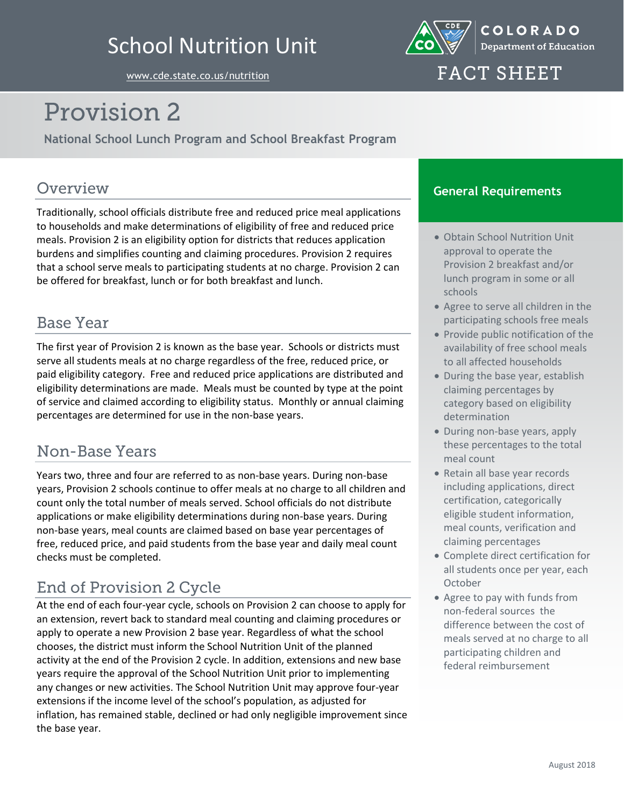## School Nutrition Unit



[www.cde.state.co.us/nutrition](http://www.cde.state.co.us/nutrition)

## **FACT SHEET**

# Provision 2

**National School Lunch Program and School Breakfast Program**

#### Overview

Traditionally, school officials distribute free and reduced price meal applications to households and make determinations of eligibility of free and reduced price meals. Provision 2 is an eligibility option for districts that reduces application burdens and simplifies counting and claiming procedures. Provision 2 requires that a school serve meals to participating students at no charge. Provision 2 can be offered for breakfast, lunch or for both breakfast and lunch.

### **Base Year**

The first year of Provision 2 is known as the base year. Schools or districts must serve all students meals at no charge regardless of the free, reduced price, or paid eligibility category. Free and reduced price applications are distributed and eligibility determinations are made. Meals must be counted by type at the point of service and claimed according to eligibility status. Monthly or annual claiming percentages are determined for use in the non-base years.

#### Non-Base Years

Years two, three and four are referred to as non-base years. During non-base years, Provision 2 schools continue to offer meals at no charge to all children and count only the total number of meals served. School officials do not distribute applications or make eligibility determinations during non-base years. During non-base years, meal counts are claimed based on base year percentages of free, reduced price, and paid students from the base year and daily meal count checks must be completed.

## **End of Provision 2 Cycle**

At the end of each four-year cycle, schools on Provision 2 can choose to apply for an extension, revert back to standard meal counting and claiming procedures or apply to operate a new Provision 2 base year. Regardless of what the school chooses, the district must inform the School Nutrition Unit of the planned activity at the end of the Provision 2 cycle. In addition, extensions and new base years require the approval of the School Nutrition Unit prior to implementing any changes or new activities. The School Nutrition Unit may approve four-year extensions if the income level of the school's population, as adjusted for inflation, has remained stable, declined or had only negligible improvement since the base year.

#### **General Requirements**

- Obtain School Nutrition Unit approval to operate the Provision 2 breakfast and/or lunch program in some or all schools
- Agree to serve all children in the participating schools free meals
- Provide public notification of the availability of free school meals to all affected households
- During the base year, establish claiming percentages by category based on eligibility determination
- During non-base years, apply these percentages to the total meal count
- Retain all base year records including applications, direct certification, categorically eligible student information, meal counts, verification and claiming percentages
- Complete direct certification for all students once per year, each **October**
- Agree to pay with funds from non-federal sources the difference between the cost of meals served at no charge to all participating children and federal reimbursement